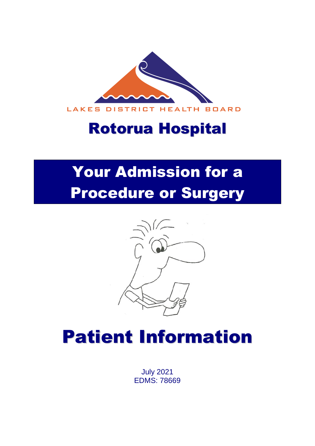

## Rotorua Hospital

# Your Admission for a Procedure or Surgery



# Patient Information

July 2021 EDMS: 78669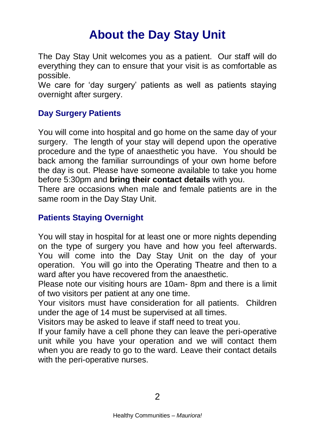### **About the Day Stay Unit**

The Day Stay Unit welcomes you as a patient. Our staff will do everything they can to ensure that your visit is as comfortable as possible.

We care for 'day surgery' patients as well as patients staying overnight after surgery.

#### **Day Surgery Patients**

You will come into hospital and go home on the same day of your surgery. The length of your stay will depend upon the operative procedure and the type of anaesthetic you have. You should be back among the familiar surroundings of your own home before the day is out. Please have someone available to take you home before 5:30pm and **bring their contact details** with you.

There are occasions when male and female patients are in the same room in the Day Stay Unit.

#### **Patients Staying Overnight**

You will stay in hospital for at least one or more nights depending on the type of surgery you have and how you feel afterwards. You will come into the Day Stay Unit on the day of your operation. You will go into the Operating Theatre and then to a ward after you have recovered from the anaesthetic.

Please note our visiting hours are 10am- 8pm and there is a limit of two visitors per patient at any one time.

Your visitors must have consideration for all patients. Children under the age of 14 must be supervised at all times.

Visitors may be asked to leave if staff need to treat you.

If your family have a cell phone they can leave the peri-operative unit while you have your operation and we will contact them when you are ready to go to the ward. Leave their contact details with the peri-operative nurses.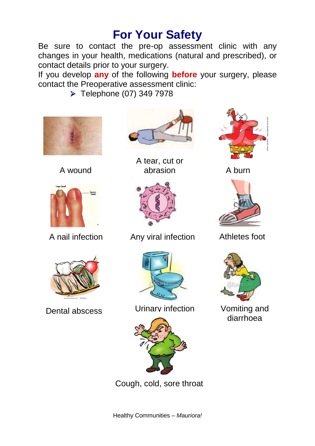### **For Your Safety**

Be sure to contact the pre-op assessment clinic with any changes in your health, medications (natural and prescribed), or contact details prior to your surgery.

If you develop **any** of the following **before** your surgery, please contact the Preoperative assessment clinic:

▶ Telephone (07) 349 7978



A wound







A tear, cut or abrasion A burn



A nail infection Any viral infection Athletes foot



Dental abscess Urinary infection



Cough, cold, sore throat







Vomiting and diarrhoea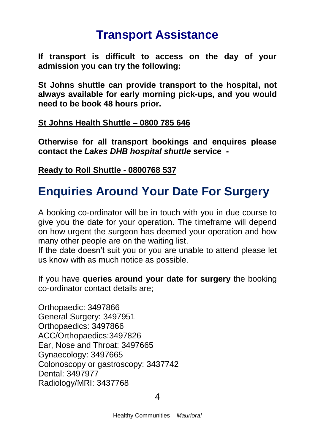### **Transport Assistance**

**If transport is difficult to access on the day of your admission you can try the following:**

**St Johns shuttle can provide transport to the hospital, not always available for early morning pick-ups, and you would need to be book 48 hours prior.**

#### **St Johns Health Shuttle – 0800 785 646**

**Otherwise for all transport bookings and enquires please contact the** *Lakes DHB hospital shuttle* **service -**

**Ready to Roll Shuttle - 0800768 537**

### **Enquiries Around Your Date For Surgery**

A booking co-ordinator will be in touch with you in due course to give you the date for your operation. The timeframe will depend on how urgent the surgeon has deemed your operation and how many other people are on the waiting list.

If the date doesn't suit you or you are unable to attend please let us know with as much notice as possible.

If you have **queries around your date for surgery** the booking co-ordinator contact details are;

Orthopaedic: 3497866 General Surgery: 3497951 Orthopaedics: 3497866 ACC/Orthopaedics:3497826 Ear, Nose and Throat: 3497665 Gynaecology: 3497665 Colonoscopy or gastroscopy: 3437742 Dental: 3497977 Radiology/MRI: 3437768

4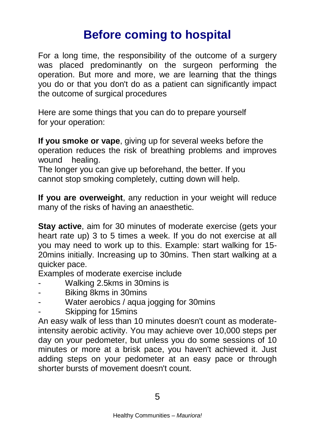### **Before coming to hospital**

For a long time, the responsibility of the outcome of a surgery was placed predominantly on the surgeon performing the operation. But more and more, we are learning that the things you do or that you don't do as a patient can significantly impact the outcome of surgical procedures

Here are some things that you can do to prepare yourself for your operation:

**If you smoke or vape**, giving up for several weeks before the operation reduces the risk of breathing problems and improves wound healing.

The longer you can give up beforehand, the better. If you cannot stop smoking completely, cutting down will help.

**If you are overweight**, any reduction in your weight will reduce many of the risks of having an anaesthetic.

**Stay active**, aim for 30 minutes of moderate exercise (gets your heart rate up) 3 to 5 times a week. If you do not exercise at all you may need to work up to this. Example: start walking for 15- 20mins initially. Increasing up to 30mins. Then start walking at a quicker pace.

Examples of moderate exercise include

- Walking 2.5kms in 30mins is
- Biking 8kms in 30mins
- Water aerobics / aqua jogging for 30mins
- Skipping for 15mins

An easy walk of less than 10 minutes doesn't count as moderateintensity aerobic activity. You may achieve over 10,000 steps per day on your pedometer, but unless you do some sessions of 10 minutes or more at a brisk pace, you haven't achieved it. Just adding steps on your pedometer at an easy pace or through shorter bursts of movement doesn't count.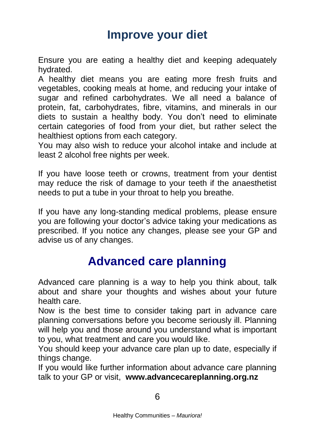### **Improve your diet**

Ensure you are eating a healthy diet and keeping adequately hydrated.

A healthy diet means you are eating more fresh fruits and vegetables, cooking meals at home, and reducing your intake of sugar and refined carbohydrates. We all need a balance of protein, fat, carbohydrates, fibre, vitamins, and minerals in our diets to sustain a healthy body. You don't need to eliminate certain categories of food from your diet, but rather select the healthiest options from each category.

You may also wish to reduce your alcohol intake and include at least 2 alcohol free nights per week.

If you have loose teeth or crowns, treatment from your dentist may reduce the risk of damage to your teeth if the anaesthetist needs to put a tube in your throat to help you breathe.

If you have any long-standing medical problems, please ensure you are following your doctor's advice taking your medications as prescribed. If you notice any changes, please see your GP and advise us of any changes.

### **Advanced care planning**

Advanced care planning is a way to help you think about, talk about and share your thoughts and wishes about your future health care.

Now is the best time to consider taking part in advance care planning conversations before you become seriously ill. Planning will help you and those around you understand what is important to you, what treatment and care you would like.

You should keep your advance care plan up to date, especially if things change.

If you would like further information about advance care planning talk to your GP or visit, **www.advancecareplanning.org.nz**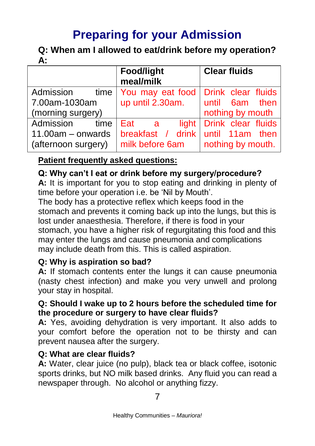### **Preparing for your Admission**

**Q: When am I allowed to eat/drink before my operation? A:**

|                     | Food/light                            | <b>Clear fluids</b>      |
|---------------------|---------------------------------------|--------------------------|
|                     | meal/milk                             |                          |
| Admission<br>time   | You may eat food   Drink clear fluids |                          |
| 7.00am-1030am       | up until 2.30am.                      | until 6am then           |
| (morning surgery)   |                                       | nothing by mouth         |
| Admission<br>time   | Eat<br>- a                            | light Drink clear fluids |
| $11.00am -$ onwards | breakfast / drink until 11am then     |                          |
| (afternoon surgery) | milk before 6am                       | nothing by mouth.        |

#### **Patient frequently asked questions:**

#### **Q: Why can't I eat or drink before my surgery/procedure?**

**A:** It is important for you to stop eating and drinking in plenty of time before your operation i.e. be 'Nil by Mouth'.

The body has a protective reflex which keeps food in the stomach and prevents it coming back up into the lungs, but this is lost under anaesthesia. Therefore, if there is food in your stomach, you have a higher risk of regurgitating this food and this may enter the lungs and cause pneumonia and complications may include death from this. This is called aspiration.

#### **Q: Why is aspiration so bad?**

**A:** If stomach contents enter the lungs it can cause pneumonia (nasty chest infection) and make you very unwell and prolong your stay in hospital.

#### **Q: Should I wake up to 2 hours before the scheduled time for the procedure or surgery to have clear fluids?**

**A:** Yes, avoiding dehydration is very important. It also adds to your comfort before the operation not to be thirsty and can prevent nausea after the surgery.

#### **Q: What are clear fluids?**

**A:** Water, clear juice (no pulp), black tea or black coffee, isotonic sports drinks, but NO milk based drinks. Any fluid you can read a newspaper through. No alcohol or anything fizzy.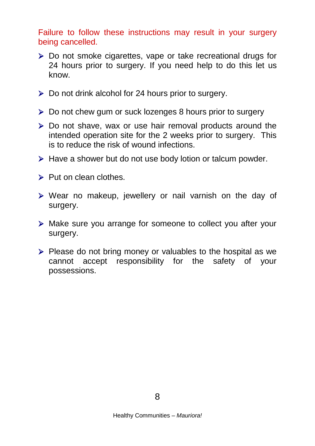Failure to follow these instructions may result in your surgery being cancelled.

- ▶ Do not smoke cigarettes, vape or take recreational drugs for 24 hours prior to surgery. If you need help to do this let us know.
- $\triangleright$  Do not drink alcohol for 24 hours prior to surgery.
- Do not chew gum or suck lozenges 8 hours prior to surgery
- Do not shave, wax or use hair removal products around the intended operation site for the 2 weeks prior to surgery. This is to reduce the risk of wound infections.
- $\triangleright$  Have a shower but do not use body lotion or talcum powder.
- $\triangleright$  Put on clean clothes.
- $\triangleright$  Wear no makeup, jewellery or nail varnish on the day of surgery.
- Make sure you arrange for someone to collect you after your surgery.
- $\triangleright$  Please do not bring money or valuables to the hospital as we cannot accept responsibility for the safety of your possessions.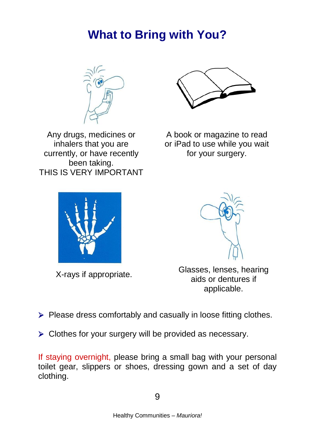### **What to Bring with You?**



Any drugs, medicines or inhalers that you are currently, or have recently been taking. THIS IS VERY IMPORTANT



A book or magazine to read or iPad to use while you wait for your surgery.



X-rays if appropriate.



Glasses, lenses, hearing aids or dentures if applicable.

 $\triangleright$  Please dress comfortably and casually in loose fitting clothes.

> Clothes for your surgery will be provided as necessary.

If staying overnight, please bring a small bag with your personal toilet gear, slippers or shoes, dressing gown and a set of day clothing.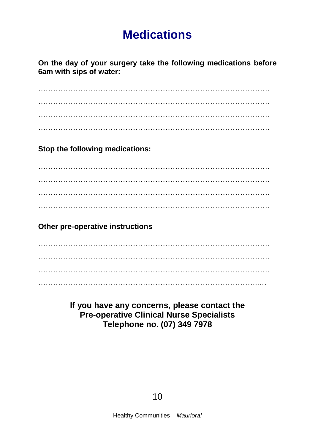### **Medications**

**On the day of your surgery take the following medications before 6am with sips of water:**

…………………………………………………………………………………

**Stop the following medications:**

…………………………………………………………………………………  $\mathcal{L}^{\text{max}}_{\text{max}}$ …………………………………………………………………………………

#### **Other pre-operative instructions**

 $\mathcal{L}^{\text{max}}$  $\mathcal{L}^{\text{max}}$ ……………………………………………………………………………..…

#### **If you have any concerns, please contact the Pre-operative Clinical Nurse Specialists Telephone no. (07) 349 7978**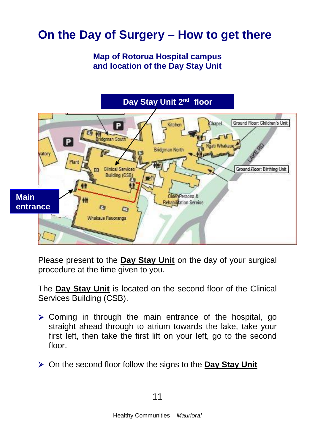### **On the Day of Surgery – How to get there**

#### **Map of Rotorua Hospital campus and location of the Day Stay Unit**



Please present to the **Day Stay Unit** on the day of your surgical procedure at the time given to you.

The **Day Stay Unit** is located on the second floor of the Clinical Services Building (CSB).

- $\triangleright$  Coming in through the main entrance of the hospital, go straight ahead through to atrium towards the lake, take your first left, then take the first lift on your left, go to the second floor.
- On the second floor follow the signs to the **Day Stay Unit**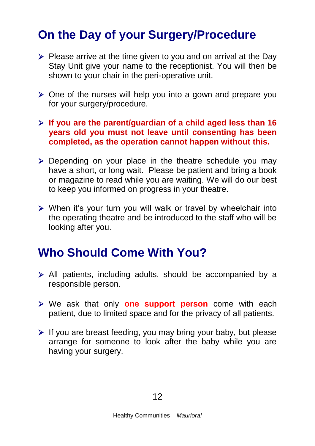### **On the Day of your Surgery/Procedure**

- $\triangleright$  Please arrive at the time given to you and on arrival at the Day Stay Unit give your name to the receptionist. You will then be shown to your chair in the peri-operative unit.
- $\triangleright$  One of the nurses will help you into a gown and prepare you for your surgery/procedure.
- **If you are the parent/guardian of a child aged less than 16 years old you must not leave until consenting has been completed, as the operation cannot happen without this.**
- $\triangleright$  Depending on your place in the theatre schedule you may have a short, or long wait. Please be patient and bring a book or magazine to read while you are waiting. We will do our best to keep you informed on progress in your theatre.
- When it's your turn you will walk or travel by wheelchair into the operating theatre and be introduced to the staff who will be looking after you.

### **Who Should Come With You?**

- All patients, including adults, should be accompanied by a responsible person.
- We ask that only **one support person** come with each patient, due to limited space and for the privacy of all patients.
- $\triangleright$  If you are breast feeding, you may bring your baby, but please arrange for someone to look after the baby while you are having your surgery.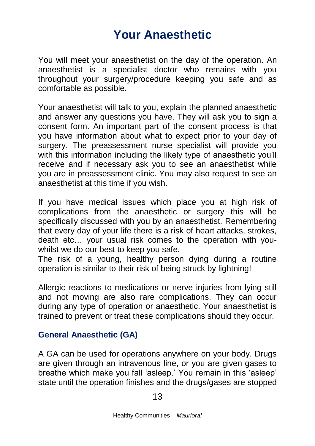### **Your Anaesthetic**

You will meet your anaesthetist on the day of the operation. An anaesthetist is a specialist doctor who remains with you throughout your surgery/procedure keeping you safe and as comfortable as possible.

Your anaesthetist will talk to you, explain the planned anaesthetic and answer any questions you have. They will ask you to sign a consent form. An important part of the consent process is that you have information about what to expect prior to your day of surgery. The preassessment nurse specialist will provide you with this information including the likely type of anaesthetic you'll receive and if necessary ask you to see an anaesthetist while you are in preassessment clinic. You may also request to see an anaesthetist at this time if you wish.

If you have medical issues which place you at high risk of complications from the anaesthetic or surgery this will be specifically discussed with you by an anaesthetist. Remembering that every day of your life there is a risk of heart attacks, strokes, death etc… your usual risk comes to the operation with youwhilst we do our best to keep you safe.

The risk of a young, healthy person dying during a routine operation is similar to their risk of being struck by lightning!

Allergic reactions to medications or nerve injuries from lying still and not moving are also rare complications. They can occur during any type of operation or anaesthetic. Your anaesthetist is trained to prevent or treat these complications should they occur.

#### **General Anaesthetic (GA)**

A GA can be used for operations anywhere on your body. Drugs are given through an intravenous line, or you are given gases to breathe which make you fall 'asleep.' You remain in this 'asleep' state until the operation finishes and the drugs/gases are stopped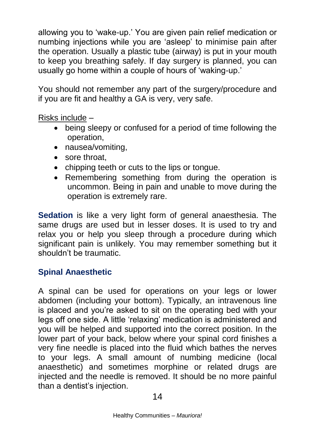allowing you to 'wake-up.' You are given pain relief medication or numbing injections while you are 'asleep' to minimise pain after the operation. Usually a plastic tube (airway) is put in your mouth to keep you breathing safely. If day surgery is planned, you can usually go home within a couple of hours of 'waking-up.'

You should not remember any part of the surgery/procedure and if you are fit and healthy a GA is very, very safe.

Risks include –

- being sleepy or confused for a period of time following the operation,
- nausea/vomiting,
- sore throat.
- chipping teeth or cuts to the lips or tongue.
- Remembering something from during the operation is uncommon. Being in pain and unable to move during the operation is extremely rare.

**Sedation** is like a very light form of general anaesthesia. The same drugs are used but in lesser doses. It is used to try and relax you or help you sleep through a procedure during which significant pain is unlikely. You may remember something but it shouldn't be traumatic.

#### **Spinal Anaesthetic**

A spinal can be used for operations on your legs or lower abdomen (including your bottom). Typically, an intravenous line is placed and you're asked to sit on the operating bed with your legs off one side. A little 'relaxing' medication is administered and you will be helped and supported into the correct position. In the lower part of your back, below where your spinal cord finishes a very fine needle is placed into the fluid which bathes the nerves to your legs. A small amount of numbing medicine (local anaesthetic) and sometimes morphine or related drugs are injected and the needle is removed. It should be no more painful than a dentist's injection.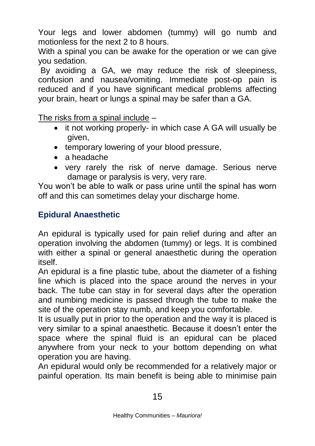Your legs and lower abdomen (tummy) will go numb and motionless for the next 2 to 8 hours.

With a spinal you can be awake for the operation or we can give you sedation.

By avoiding a GA, we may reduce the risk of sleepiness, confusion and nausea/vomiting. Immediate post-op pain is reduced and if you have significant medical problems affecting your brain, heart or lungs a spinal may be safer than a GA.

The risks from a spinal include –

- it not working properly- in which case A GA will usually be given,
- temporary lowering of your blood pressure.
- a headache
- very rarely the risk of nerve damage. Serious nerve damage or paralysis is very, very rare.

You won't be able to walk or pass urine until the spinal has worn off and this can sometimes delay your discharge home.

#### **Epidural Anaesthetic**

An epidural is typically used for pain relief during and after an operation involving the abdomen (tummy) or legs. It is combined with either a spinal or general anaesthetic during the operation itself.

An epidural is a fine plastic tube, about the diameter of a fishing line which is placed into the space around the nerves in your back. The tube can stay in for several days after the operation and numbing medicine is passed through the tube to make the site of the operation stay numb, and keep you comfortable.

It is usually put in prior to the operation and the way it is placed is very similar to a spinal anaesthetic. Because it doesn't enter the space where the spinal fluid is an epidural can be placed anywhere from your neck to your bottom depending on what operation you are having.

An epidural would only be recommended for a relatively major or painful operation. Its main benefit is being able to minimise pain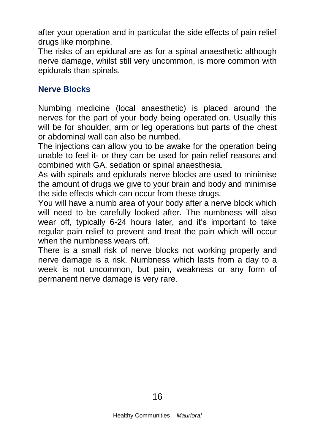after your operation and in particular the side effects of pain relief drugs like morphine.

The risks of an epidural are as for a spinal anaesthetic although nerve damage, whilst still very uncommon, is more common with epidurals than spinals.

#### **Nerve Blocks**

Numbing medicine (local anaesthetic) is placed around the nerves for the part of your body being operated on. Usually this will be for shoulder, arm or leg operations but parts of the chest or abdominal wall can also be numbed.

The injections can allow you to be awake for the operation being unable to feel it- or they can be used for pain relief reasons and combined with GA, sedation or spinal anaesthesia.

As with spinals and epidurals nerve blocks are used to minimise the amount of drugs we give to your brain and body and minimise the side effects which can occur from these drugs.

You will have a numb area of your body after a nerve block which will need to be carefully looked after. The numbness will also wear off, typically 6-24 hours later, and it's important to take regular pain relief to prevent and treat the pain which will occur when the numbness wears off.

There is a small risk of nerve blocks not working properly and nerve damage is a risk. Numbness which lasts from a day to a week is not uncommon, but pain, weakness or any form of permanent nerve damage is very rare.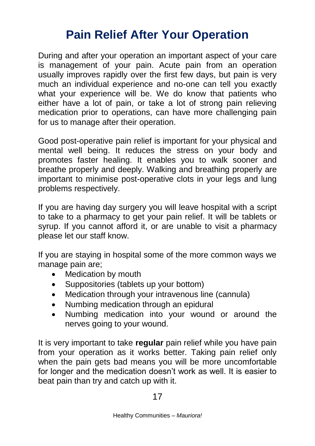### **Pain Relief After Your Operation**

During and after your operation an important aspect of your care is management of your pain. Acute pain from an operation usually improves rapidly over the first few days, but pain is very much an individual experience and no-one can tell you exactly what your experience will be. We do know that patients who either have a lot of pain, or take a lot of strong pain relieving medication prior to operations, can have more challenging pain for us to manage after their operation.

Good post-operative pain relief is important for your physical and mental well being. It reduces the stress on your body and promotes faster healing. It enables you to walk sooner and breathe properly and deeply. Walking and breathing properly are important to minimise post-operative clots in your legs and lung problems respectively.

If you are having day surgery you will leave hospital with a script to take to a pharmacy to get your pain relief. It will be tablets or syrup. If you cannot afford it, or are unable to visit a pharmacy please let our staff know.

If you are staying in hospital some of the more common ways we manage pain are;

- Medication by mouth
- Suppositories (tablets up your bottom)
- Medication through your intravenous line (cannula)
- Numbing medication through an epidural
- Numbing medication into your wound or around the nerves going to your wound.

It is very important to take **regular** pain relief while you have pain from your operation as it works better. Taking pain relief only when the pain gets bad means you will be more uncomfortable for longer and the medication doesn't work as well. It is easier to beat pain than try and catch up with it.

17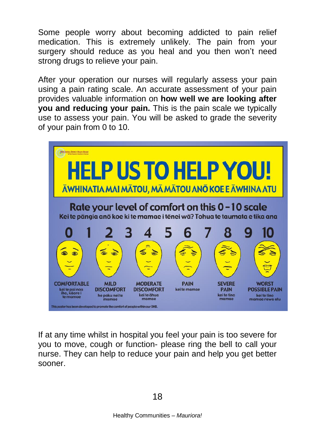Some people worry about becoming addicted to pain relief medication. This is extremely unlikely. The pain from your surgery should reduce as you heal and you then won't need strong drugs to relieve your pain.

After your operation our nurses will regularly assess your pain using a pain rating scale. An accurate assessment of your pain provides valuable information on **how well we are looking after you and reducing your pain.** This is the pain scale we typically use to assess your pain. You will be asked to grade the severity of your pain from 0 to 10.



If at any time whilst in hospital you feel your pain is too severe for you to move, cough or function- please ring the bell to call your nurse. They can help to reduce your pain and help you get better sooner.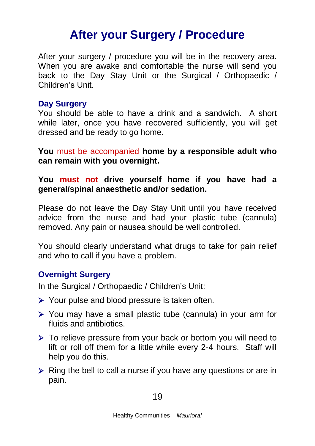### **After your Surgery / Procedure**

After your surgery / procedure you will be in the recovery area. When you are awake and comfortable the nurse will send you back to the Day Stay Unit or the Surgical / Orthopaedic / Children's Unit.

#### **Day Surgery**

You should be able to have a drink and a sandwich. A short while later, once you have recovered sufficiently, you will get dressed and be ready to go home.

**You** must be accompanied **home by a responsible adult who can remain with you overnight.**

**You must not drive yourself home if you have had a general/spinal anaesthetic and/or sedation.**

Please do not leave the Day Stay Unit until you have received advice from the nurse and had your plastic tube (cannula) removed. Any pain or nausea should be well controlled.

You should clearly understand what drugs to take for pain relief and who to call if you have a problem.

#### **Overnight Surgery**

In the Surgical / Orthopaedic / Children's Unit:

- $\triangleright$  Your pulse and blood pressure is taken often.
- You may have a small plastic tube (cannula) in your arm for fluids and antibiotics.
- $\triangleright$  To relieve pressure from your back or bottom you will need to lift or roll off them for a little while every 2-4 hours. Staff will help you do this.
- $\triangleright$  Ring the bell to call a nurse if you have any questions or are in pain.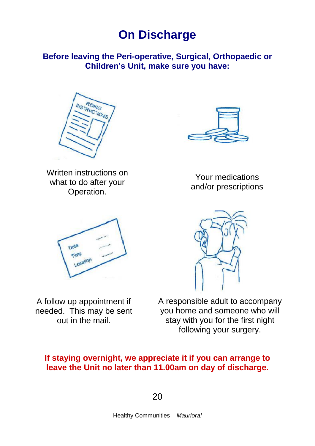### **On Discharge**

#### **Before leaving the Peri-operative, Surgical, Orthopaedic or Children's Unit, make sure you have:**

 $\overline{1}$ 







Your medications and/or prescriptions



A follow up appointment if needed. This may be sent out in the mail.



A responsible adult to accompany you home and someone who will stay with you for the first night following your surgery.

#### **If staying overnight, we appreciate it if you can arrange to leave the Unit no later than 11.00am on day of discharge.**

20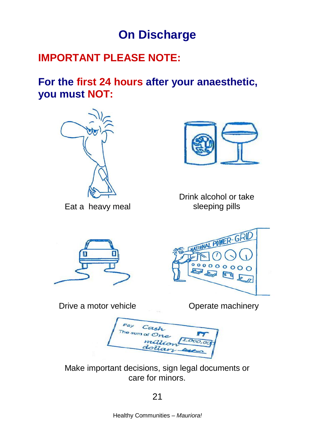### **On Discharge**

### **IMPORTANT PLEASE NOTE:**

**For the first 24 hours after your anaesthetic, you must NOT:**



Eat a heavy meal



Drink alcohol or take sleeping pills

MATIONAL POWER-GRID

 $\sum_{\text{0}}$ 



Drive a motor vehicle

Operate machinery

 $ca<sub>5</sub>$ e sum o

Make important decisions, sign legal documents or care for minors.

21

Healthy Communities – *Mauriora!*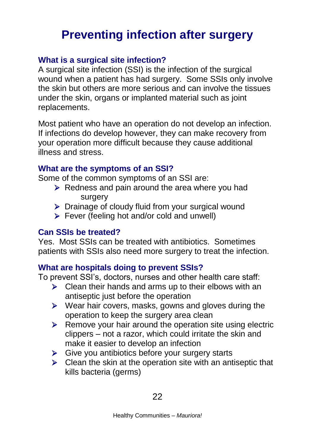### **Preventing infection after surgery**

#### **What is a surgical site infection?**

A surgical site infection (SSI) is the infection of the surgical wound when a patient has had surgery. Some SSIs only involve the skin but others are more serious and can involve the tissues under the skin, organs or implanted material such as joint replacements.

Most patient who have an operation do not develop an infection. If infections do develop however, they can make recovery from your operation more difficult because they cause additional illness and stress.

#### **What are the symptoms of an SSI?**

Some of the common symptoms of an SSI are:

- $\triangleright$  Redness and pain around the area where you had surgery
- $\triangleright$  Drainage of cloudy fluid from your surgical wound
- Fever (feeling hot and/or cold and unwell)

#### **Can SSIs be treated?**

Yes. Most SSIs can be treated with antibiotics. Sometimes patients with SSIs also need more surgery to treat the infection.

#### **What are hospitals doing to prevent SSIs?**

To prevent SSI's, doctors, nurses and other health care staff:

- $\triangleright$  Clean their hands and arms up to their elbows with an antiseptic just before the operation
- $\triangleright$  Wear hair covers, masks, gowns and gloves during the operation to keep the surgery area clean
- $\triangleright$  Remove your hair around the operation site using electric clippers – not a razor, which could irritate the skin and make it easier to develop an infection
- $\triangleright$  Give you antibiotics before your surgery starts
- $\triangleright$  Clean the skin at the operation site with an antiseptic that kills bacteria (germs)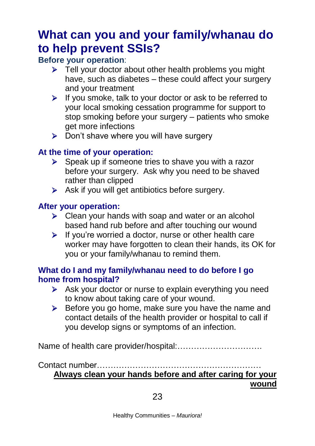### **What can you and your family/whanau do to help prevent SSIs?**

#### **Before your operation**:

- $\triangleright$  Tell your doctor about other health problems you might have, such as diabetes – these could affect your surgery and your treatment
- $\triangleright$  If you smoke, talk to your doctor or ask to be referred to your local smoking cessation programme for support to stop smoking before your surgery – patients who smoke get more infections
- $\triangleright$  Don't shave where you will have surgery

#### **At the time of your operation:**

- $\triangleright$  Speak up if someone tries to shave you with a razor before your surgery. Ask why you need to be shaved rather than clipped
- $\triangleright$  Ask if you will get antibiotics before surgery.

#### **After your operation:**

- $\triangleright$  Clean your hands with soap and water or an alcohol based hand rub before and after touching our wound
- $\triangleright$  If you're worried a doctor, nurse or other health care worker may have forgotten to clean their hands, its OK for you or your family/whanau to remind them.

#### **What do I and my family/whanau need to do before I go home from hospital?**

- $\triangleright$  Ask your doctor or nurse to explain everything you need to know about taking care of your wound.
- $\triangleright$  Before you go home, make sure you have the name and contact details of the health provider or hospital to call if you develop signs or symptoms of an infection.

Name of health care provider/hospital:………………………….

Contact number…………………………………………………… **Always clean your hands before and after caring for your wound**

23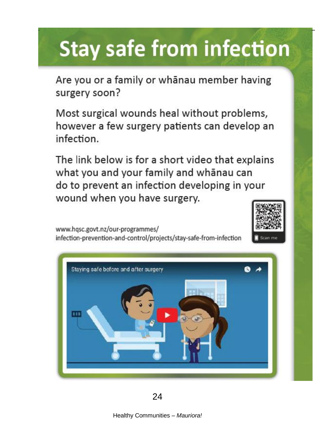# **Stay safe from infection**

Are you or a family or whanau member having surgery soon?

Most surgical wounds heal without problems, however a few surgery patients can develop an infection.

The link below is for a short video that explains what you and your family and whanau can do to prevent an infection developing in your wound when you have surgery.

www.hqsc.govt.nz/our-programmes/ infection-prevention-and-control/projects/stay-safe-from-infection





24

Healthy Communities – *Mauriora!*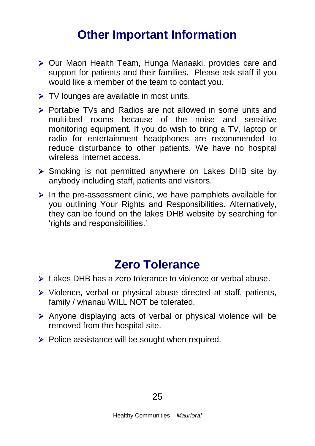### **Other Important Information**

- Our Maori Health Team, Hunga Manaaki, provides care and support for patients and their families. Please ask staff if you would like a member of the team to contact you.
- TV lounges are available in most units.
- Portable TVs and Radios are not allowed in some units and multi-bed rooms because of the noise and sensitive monitoring equipment. If you do wish to bring a TV, laptop or radio for entertainment headphones are recommended to reduce disturbance to other patients. We have no hospital wireless internet access.
- $\triangleright$  Smoking is not permitted anywhere on Lakes DHB site by anybody including staff, patients and visitors.
- $\triangleright$  In the pre-assessment clinic, we have pamphlets available for you outlining Your Rights and Responsibilities. Alternatively, they can be found on the lakes DHB website by searching for 'rights and responsibilities.'

### **Zero Tolerance**

- $\triangleright$  Lakes DHB has a zero tolerance to violence or verbal abuse.
- $\triangleright$  Violence, verbal or physical abuse directed at staff, patients, family / whanau WILL NOT be tolerated.
- $\triangleright$  Anyone displaying acts of verbal or physical violence will be removed from the hospital site.
- $\triangleright$  Police assistance will be sought when required.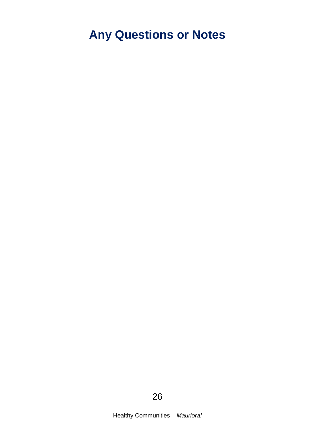### **Any Questions or Notes**

26

Healthy Communities – *Mauriora!*